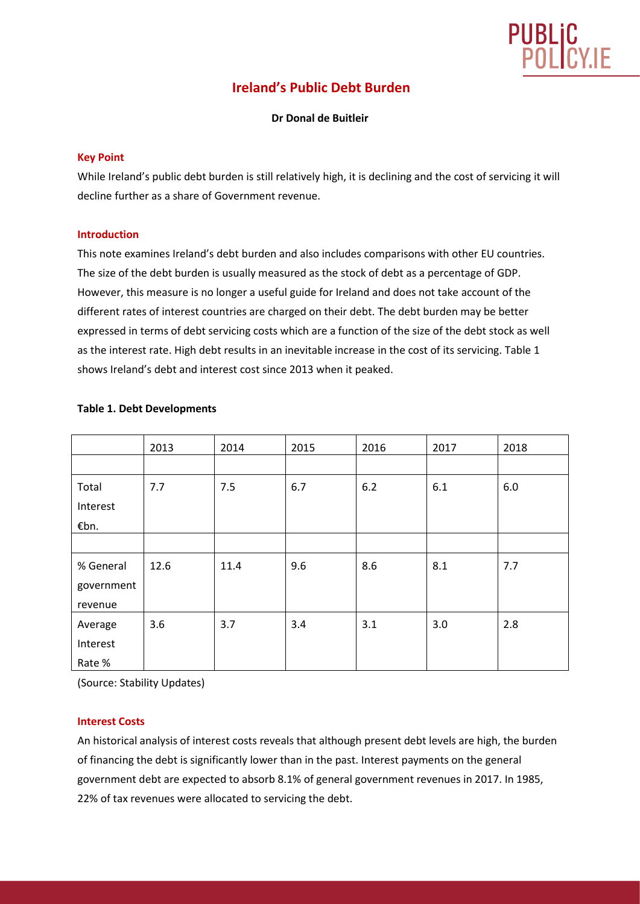

# **Ireland's Public Debt Burden**

#### **Dr Donal de Buitleir**

#### **Key Point**

While Ireland's public debt burden is still relatively high, it is declining and the cost of servicing it will decline further as a share of Government revenue.

#### **Introduction**

This note examines Ireland's debt burden and also includes comparisons with other EU countries. The size of the debt burden is usually measured as the stock of debt as a percentage of GDP. However, this measure is no longer a useful guide for Ireland and does not take account of the different rates of interest countries are charged on their debt. The debt burden may be better expressed in terms of debt servicing costs which are a function of the size of the debt stock as well as the interest rate. High debt results in an inevitable increase in the cost of its servicing. Table 1 shows Ireland's debt and interest cost since 2013 when it peaked.

|            | 2013 | 2014 | 2015 | 2016 | 2017 | 2018 |
|------------|------|------|------|------|------|------|
|            |      |      |      |      |      |      |
| Total      | 7.7  | 7.5  | 6.7  | 6.2  | 6.1  | 6.0  |
| Interest   |      |      |      |      |      |      |
| €bn.       |      |      |      |      |      |      |
|            |      |      |      |      |      |      |
| % General  | 12.6 | 11.4 | 9.6  | 8.6  | 8.1  | 7.7  |
| government |      |      |      |      |      |      |
| revenue    |      |      |      |      |      |      |
| Average    | 3.6  | 3.7  | 3.4  | 3.1  | 3.0  | 2.8  |
| Interest   |      |      |      |      |      |      |
| Rate %     |      |      |      |      |      |      |

#### **Table 1. Debt Developments**

(Source: Stability Updates)

#### **Interest Costs**

An historical analysis of interest costs reveals that although present debt levels are high, the burden of financing the debt is significantly lower than in the past. Interest payments on the general government debt are expected to absorb 8.1% of general government revenues in 2017. In 1985, 22% of tax revenues were allocated to servicing the debt.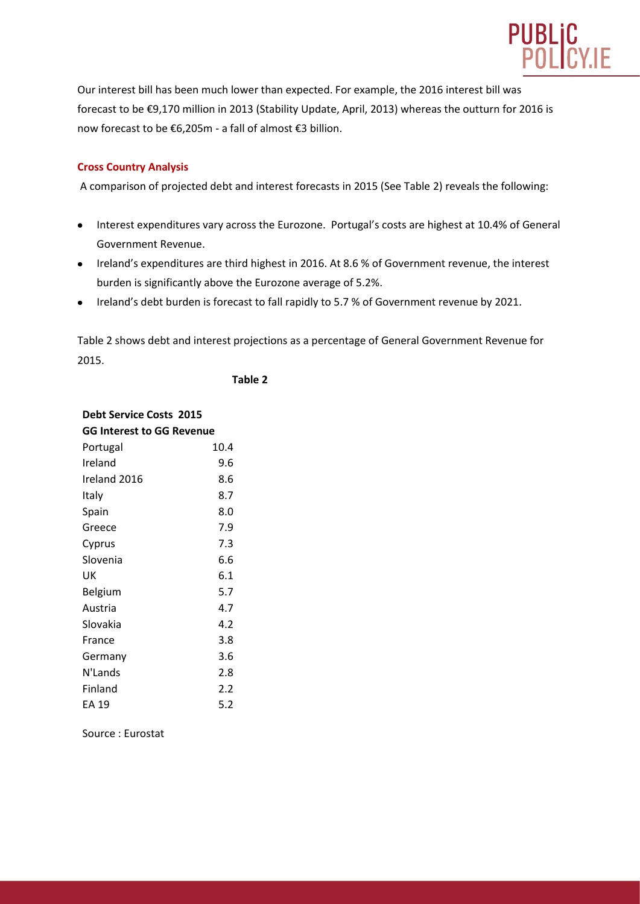

Our interest bill has been much lower than expected. For example, the 2016 interest bill was forecast to be €9,170 million in 2013 (Stability Update, April, 2013) whereas the outturn for 2016 is now forecast to be €6,205m - a fall of almost €3 billion.

## **Cross Country Analysis**

A comparison of projected debt and interest forecasts in 2015 (See Table 2) reveals the following:

- Interest expenditures vary across the Eurozone. Portugal's costs are highest at 10.4% of General Government Revenue.
- Ireland's expenditures are third highest in 2016. At 8.6 % of Government revenue, the interest burden is significantly above the Eurozone average of 5.2%.
- Ireland's debt burden is forecast to fall rapidly to 5.7 % of Government revenue by 2021.

Table 2 shows debt and interest projections as a percentage of General Government Revenue for 2015.

**Table 2**

| <b>Debt Service Costs 2015</b> |      |  |  |  |  |  |
|--------------------------------|------|--|--|--|--|--|
| GG Interest to GG Revenue      |      |  |  |  |  |  |
| Portugal                       | 10.4 |  |  |  |  |  |
| Ireland                        | 9.6  |  |  |  |  |  |
| Ireland 2016                   | 8.6  |  |  |  |  |  |
| Italy                          | 8.7  |  |  |  |  |  |
| Spain                          | 8.0  |  |  |  |  |  |
| Greece                         | 7.9  |  |  |  |  |  |
| Cyprus                         | 7.3  |  |  |  |  |  |
| Slovenia                       | 6.6  |  |  |  |  |  |
| UK                             | 6.1  |  |  |  |  |  |
| Belgium                        | 5.7  |  |  |  |  |  |
| Austria                        | 4.7  |  |  |  |  |  |
| Slovakia                       | 4.2  |  |  |  |  |  |
| France                         | 3.8  |  |  |  |  |  |
| Germany                        | 3.6  |  |  |  |  |  |
| N'Lands                        | 2.8  |  |  |  |  |  |
| Finland                        | 2.2  |  |  |  |  |  |
| EA 19                          | 5.2  |  |  |  |  |  |

Source : Eurostat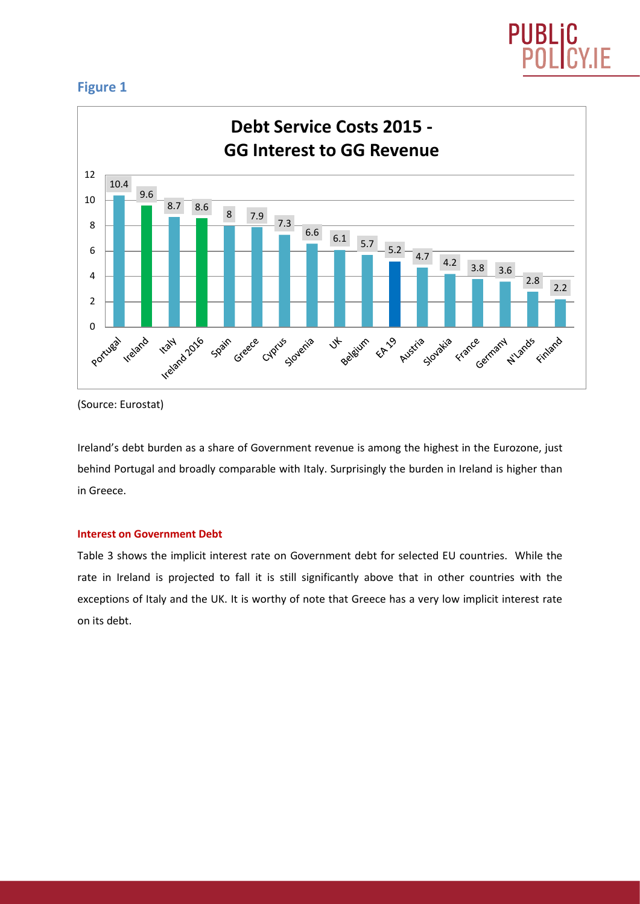

## **Figure 1**



<sup>(</sup>Source: Eurostat)

Ireland's debt burden as a share of Government revenue is among the highest in the Eurozone, just behind Portugal and broadly comparable with Italy. Surprisingly the burden in Ireland is higher than in Greece.

## **Interest on Government Debt**

Table 3 shows the implicit interest rate on Government debt for selected EU countries. While the rate in Ireland is projected to fall it is still significantly above that in other countries with the exceptions of Italy and the UK. It is worthy of note that Greece has a very low implicit interest rate on its debt.